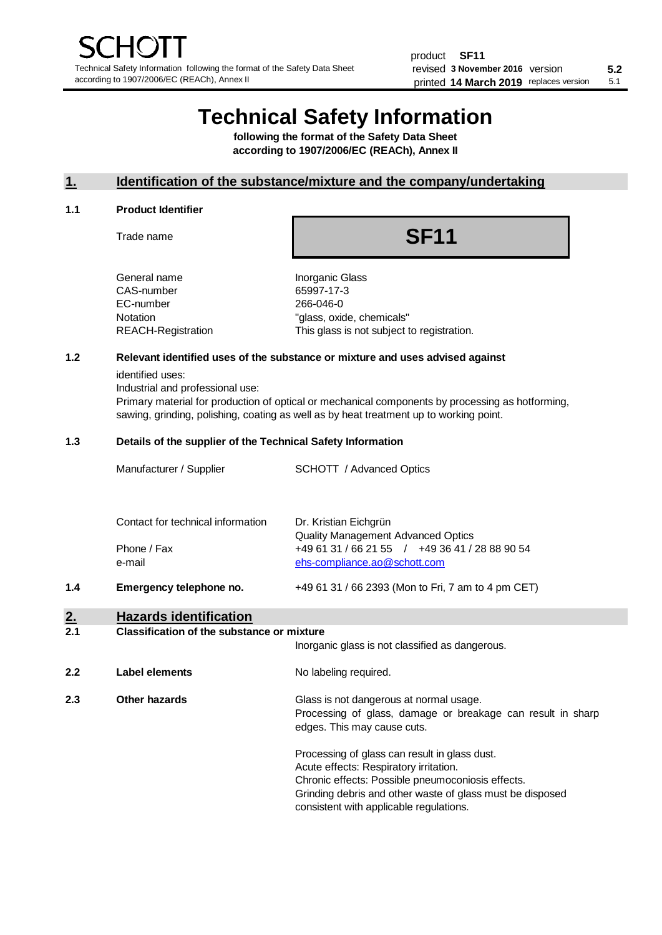# **Technical Safety Information**

**following the format of the Safety Data Sheet according to 1907/2006/EC (REACh), Annex II**

# **1. Identification of the substance/mixture and the company/undertaking**

#### **1.1 Product Identifier**

Trade name

# **SF11**

| General name       |
|--------------------|
| CAS-number         |
| EC-number          |
| Notation           |
| REACH-Registration |
|                    |

**Inorganic Glass** 65997-17-3 266-046-0 "glass, oxide, chemicals" This glass is not subject to registration.

# **1.2 Relevant identified uses of the substance or mixture and uses advised against**

identified uses:

Industrial and professional use:

Primary material for production of optical or mechanical components by processing as hotforming, sawing, grinding, polishing, coating as well as by heat treatment up to working point.

### **1.3 Details of the supplier of the Technical Safety Information**

|     | Manufacturer / Supplier           | SCHOTT / Advanced Optics                                                                    |
|-----|-----------------------------------|---------------------------------------------------------------------------------------------|
|     | Contact for technical information | Dr. Kristian Eichgrün                                                                       |
|     | Phone / Fax                       | <b>Quality Management Advanced Optics</b><br>+49 61 31 / 66 21 55 / +49 36 41 / 28 88 90 54 |
|     | e-mail                            | ehs-compliance.ao@schott.com                                                                |
| 1.4 | Emergency telephone no.           | +49 61 31 / 66 2393 (Mon to Fri, 7 am to 4 pm CET)                                          |
|     |                                   |                                                                                             |

# **2. Hazards identification**

# **2.1 Classification of the substance or mixture**

|     |                | Inorganic glass is not classified as dangerous.                                                                                                                                                                                                      |
|-----|----------------|------------------------------------------------------------------------------------------------------------------------------------------------------------------------------------------------------------------------------------------------------|
| 2.2 | Label elements | No labeling required.                                                                                                                                                                                                                                |
| 2.3 | Other hazards  | Glass is not dangerous at normal usage.<br>Processing of glass, damage or breakage can result in sharp<br>edges. This may cause cuts.                                                                                                                |
|     |                | Processing of glass can result in glass dust.<br>Acute effects: Respiratory irritation.<br>Chronic effects: Possible pneumoconiosis effects.<br>Grinding debris and other waste of glass must be disposed<br>consistent with applicable regulations. |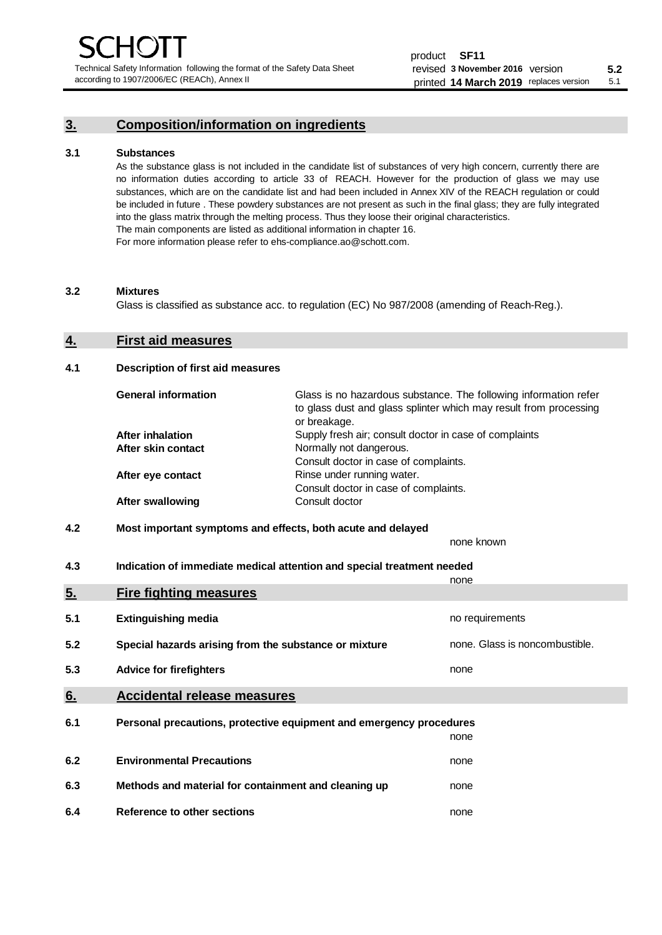Technical Safety Information following the format of the Safety Data Sheet according to 1907/2006/EC (REACh), Annex II

# **3. Composition/information on ingredients**

## **3.1 Substances**

As the substance glass is not included in the candidate list of substances of very high concern, currently there are no information duties according to article 33 of REACH. However for the production of glass we may use substances, which are on the candidate list and had been included in Annex XIV of the REACH regulation or could be included in future . These powdery substances are not present as such in the final glass; they are fully integrated into the glass matrix through the melting process. Thus they loose their original characteristics. The main components are listed as additional information in chapter 16. For more information please refer to ehs-compliance.ao@schott.com.

#### **3.2 Mixtures**

Glass is classified as substance acc. to regulation (EC) No 987/2008 (amending of Reach-Reg.).

# **4. First aid measures**

## **4.1 Description of first aid measures**

| <b>General information</b> | Glass is no hazardous substance. The following information refer<br>to glass dust and glass splinter which may result from processing<br>or breakage. |
|----------------------------|-------------------------------------------------------------------------------------------------------------------------------------------------------|
| <b>After inhalation</b>    | Supply fresh air; consult doctor in case of complaints                                                                                                |
| After skin contact         | Normally not dangerous.                                                                                                                               |
|                            | Consult doctor in case of complaints.                                                                                                                 |
| After eye contact          | Rinse under running water.                                                                                                                            |
|                            | Consult doctor in case of complaints.                                                                                                                 |
| <b>After swallowing</b>    | Consult doctor                                                                                                                                        |

# **4.2 Most important symptoms and effects, both acute and delayed**

none known **4.3 Indication of immediate medical attention and special treatment needed** 

|     |                                                                     | none                           |
|-----|---------------------------------------------------------------------|--------------------------------|
| 5.  | <b>Fire fighting measures</b>                                       |                                |
| 5.1 | <b>Extinguishing media</b>                                          | no requirements                |
| 5.2 | Special hazards arising from the substance or mixture               | none. Glass is noncombustible. |
| 5.3 | <b>Advice for firefighters</b>                                      | none                           |
| 6.  | <b>Accidental release measures</b>                                  |                                |
| 6.1 | Personal precautions, protective equipment and emergency procedures |                                |
|     |                                                                     | none                           |
| 6.2 | <b>Environmental Precautions</b>                                    | none                           |
| 6.3 | Methods and material for containment and cleaning up                | none                           |
| 6.4 | Reference to other sections                                         | none                           |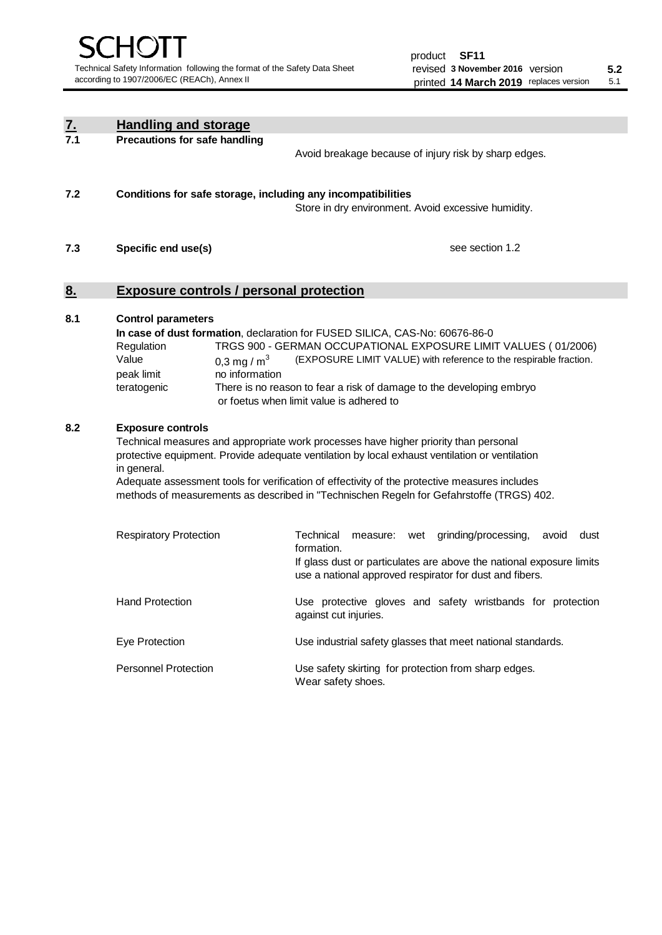| <u>7.</u> | <b>Handling and storage</b>                                                                                                                                                                                                                                                                                                                                                                                                    |                                                                                                                                                                                                                                                                                                                                        |  |  |  |
|-----------|--------------------------------------------------------------------------------------------------------------------------------------------------------------------------------------------------------------------------------------------------------------------------------------------------------------------------------------------------------------------------------------------------------------------------------|----------------------------------------------------------------------------------------------------------------------------------------------------------------------------------------------------------------------------------------------------------------------------------------------------------------------------------------|--|--|--|
| 7.1       | <b>Precautions for safe handling</b>                                                                                                                                                                                                                                                                                                                                                                                           | Avoid breakage because of injury risk by sharp edges.                                                                                                                                                                                                                                                                                  |  |  |  |
| 7.2       | Conditions for safe storage, including any incompatibilities                                                                                                                                                                                                                                                                                                                                                                   | Store in dry environment. Avoid excessive humidity.                                                                                                                                                                                                                                                                                    |  |  |  |
| 7.3       | Specific end use(s)<br>see section 1.2                                                                                                                                                                                                                                                                                                                                                                                         |                                                                                                                                                                                                                                                                                                                                        |  |  |  |
| 8.        | <b>Exposure controls / personal protection</b>                                                                                                                                                                                                                                                                                                                                                                                 |                                                                                                                                                                                                                                                                                                                                        |  |  |  |
| 8.1       | <b>Control parameters</b><br>Regulation<br>Value<br>0.3 mg / $m3$<br>peak limit<br>no information<br>teratogenic                                                                                                                                                                                                                                                                                                               | In case of dust formation, declaration for FUSED SILICA, CAS-No: 60676-86-0<br>TRGS 900 - GERMAN OCCUPATIONAL EXPOSURE LIMIT VALUES (01/2006)<br>(EXPOSURE LIMIT VALUE) with reference to the respirable fraction.<br>There is no reason to fear a risk of damage to the developing embryo<br>or foetus when limit value is adhered to |  |  |  |
| 8.2       | <b>Exposure controls</b><br>Technical measures and appropriate work processes have higher priority than personal<br>protective equipment. Provide adequate ventilation by local exhaust ventilation or ventilation<br>in general.<br>Adequate assessment tools for verification of effectivity of the protective measures includes<br>methods of measurements as described in "Technischen Regeln for Gefahrstoffe (TRGS) 402. |                                                                                                                                                                                                                                                                                                                                        |  |  |  |
|           | <b>Respiratory Protection</b>                                                                                                                                                                                                                                                                                                                                                                                                  | Technical<br>grinding/processing,<br>measure: wet<br>avoid<br>dust<br>formation.<br>If glass dust or particulates are above the national exposure limits<br>use a national approved respirator for dust and fibers.                                                                                                                    |  |  |  |
|           | <b>Hand Protection</b>                                                                                                                                                                                                                                                                                                                                                                                                         | Use protective gloves and safety wristbands for protection<br>against cut injuries.                                                                                                                                                                                                                                                    |  |  |  |
|           | Eye Protection                                                                                                                                                                                                                                                                                                                                                                                                                 | Use industrial safety glasses that meet national standards.                                                                                                                                                                                                                                                                            |  |  |  |
|           | <b>Personnel Protection</b>                                                                                                                                                                                                                                                                                                                                                                                                    | Use safety skirting for protection from sharp edges.<br>Wear safety shoes.                                                                                                                                                                                                                                                             |  |  |  |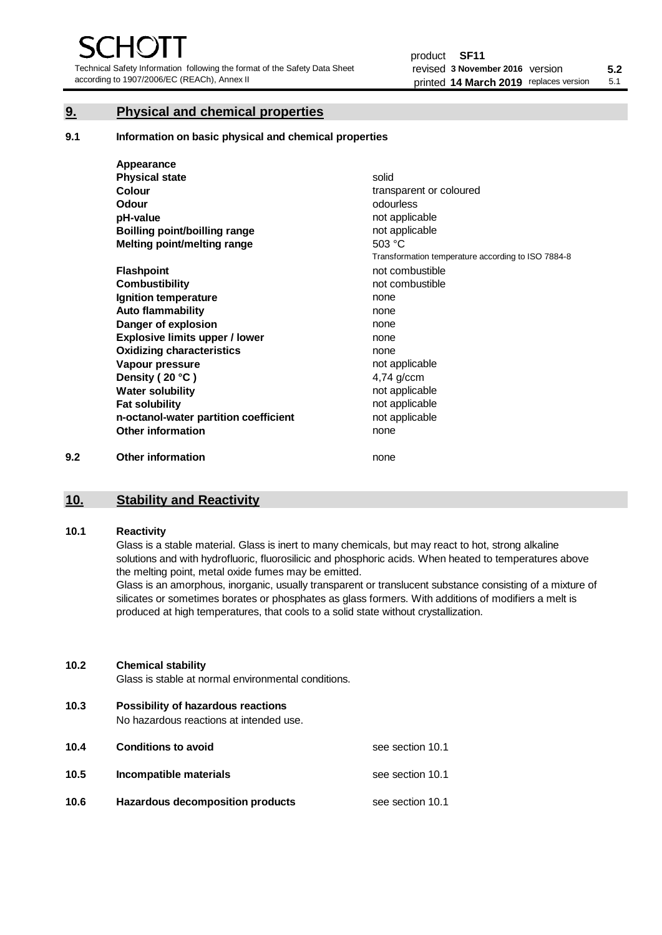Technical Safety Information following the format of the Safety Data Sheet according to 1907/2006/EC (REACh), Annex II

# **9. Physical and chemical properties**

**9.1 Information on basic physical and chemical properties**

|     | Appearance                            |                                                    |
|-----|---------------------------------------|----------------------------------------------------|
|     | <b>Physical state</b>                 | solid                                              |
|     | Colour                                | transparent or coloured                            |
|     | <b>Odour</b>                          | odourless                                          |
|     | pH-value                              | not applicable                                     |
|     | <b>Boilling point/boilling range</b>  | not applicable                                     |
|     | Melting point/melting range           | 503 °C                                             |
|     |                                       | Transformation temperature according to ISO 7884-8 |
|     | <b>Flashpoint</b>                     | not combustible                                    |
|     | <b>Combustibility</b>                 | not combustible                                    |
|     | Ignition temperature                  | none                                               |
|     | <b>Auto flammability</b>              | none                                               |
|     | Danger of explosion                   | none                                               |
|     | <b>Explosive limits upper / lower</b> | none                                               |
|     | <b>Oxidizing characteristics</b>      | none                                               |
|     | Vapour pressure                       | not applicable                                     |
|     | Density (20 °C)                       | $4,74$ g/ccm                                       |
|     | <b>Water solubility</b>               | not applicable                                     |
|     | <b>Fat solubility</b>                 | not applicable                                     |
|     | n-octanol-water partition coefficient | not applicable                                     |
|     | <b>Other information</b>              | none                                               |
| 9.2 | <b>Other information</b>              | none                                               |

# **10. Stability and Reactivity**

### **10.1 Reactivity**

Glass is a stable material. Glass is inert to many chemicals, but may react to hot, strong alkaline solutions and with hydrofluoric, fluorosilicic and phosphoric acids. When heated to temperatures above the melting point, metal oxide fumes may be emitted.

Glass is an amorphous, inorganic, usually transparent or translucent substance consisting of a mixture of silicates or sometimes borates or phosphates as glass formers. With additions of modifiers a melt is produced at high temperatures, that cools to a solid state without crystallization.

# **10.2 Chemical stability**

Glass is stable at normal environmental conditions.

**10.3 Possibility of hazardous reactions** 

No hazardous reactions at intended use.

| 10.4 | <b>Conditions to avoid</b>       | see section 10.1 |
|------|----------------------------------|------------------|
| 10.5 | Incompatible materials           | see section 10.1 |
| 10.6 | Hazardous decomposition products | see section 10.1 |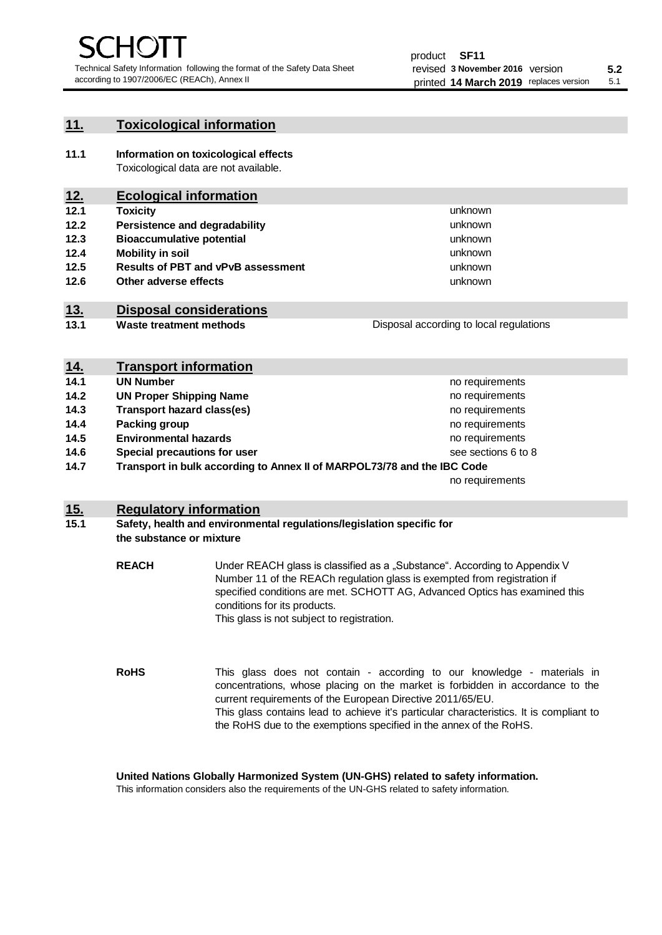unknown unknown unknown

unknown unknown unknown

Disposal according to local regulations

# **11. Toxicological information**

**11.1 Information on toxicological effects** Toxicological data are not available.

# **12. Ecological information**

- **12.1 Toxicity**
- **12.2 Persistence and degradability**
- **12.3 Bioaccumulative potential**
- **12.4 Mobility in soil**
- **12.5 Results of PBT and vPvB assessment**
- **12.6 Other adverse effects**

# **13. Disposal considerations**

**13.1 Waste treatment methods**

| <u>14.</u> | <b>Transport information</b>                                            |                     |
|------------|-------------------------------------------------------------------------|---------------------|
| 14.1       | <b>UN Number</b>                                                        | no requirements     |
| 14.2       | <b>UN Proper Shipping Name</b>                                          | no requirements     |
| 14.3       | <b>Transport hazard class(es)</b>                                       | no requirements     |
| 14.4       | Packing group                                                           | no requirements     |
| 14.5       | <b>Environmental hazards</b>                                            | no requirements     |
| 14.6       | Special precautions for user                                            | see sections 6 to 8 |
| 14.7       | Transport in bulk according to Annex II of MARPOL73/78 and the IBC Code |                     |
|            |                                                                         | no requirements     |

# **15. Regulatory information**

## **15.1 Safety, health and environmental regulations/legislation specific for the substance or mixture**

**REACH** Under REACH glass is classified as a "Substance". According to Appendix V Number 11 of the REACh regulation glass is exempted from registration if specified conditions are met. SCHOTT AG, Advanced Optics has examined this conditions for its products. This glass is not subject to registration.

**RoHS** This glass does not contain - according to our knowledge - materials in concentrations, whose placing on the market is forbidden in accordance to the current requirements of the European Directive 2011/65/EU. This glass contains lead to achieve it's particular characteristics. It is compliant to the RoHS due to the exemptions specified in the annex of the RoHS.

**United Nations Globally Harmonized System (UN-GHS) related to safety information.**

This information considers also the requirements of the UN-GHS related to safety information.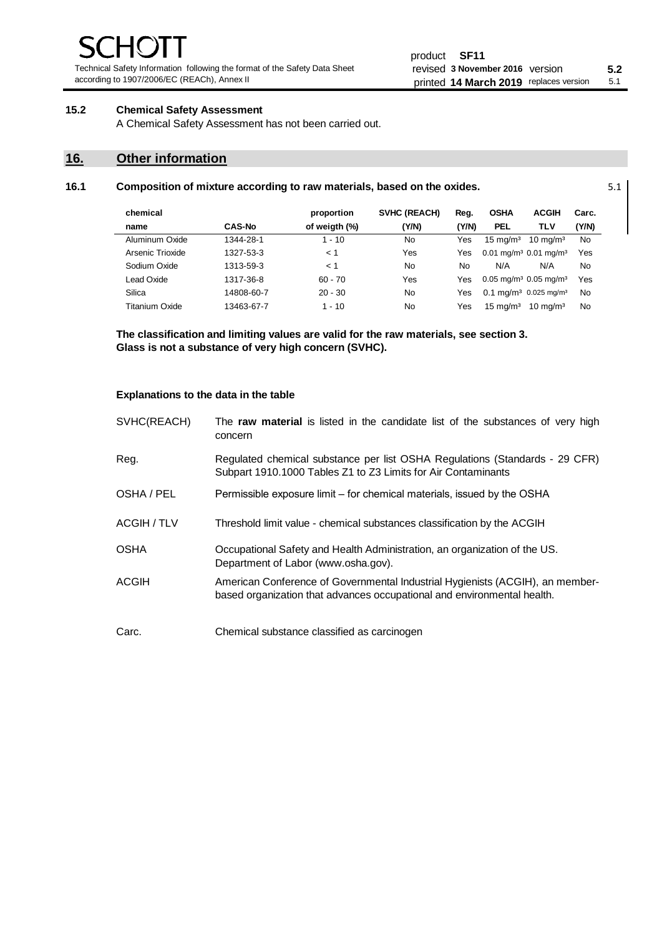Technical Safety Information following the format of the Safety Data Sheet according to 1907/2006/EC (REACh), Annex II

#### product **SF11** revised **5.2 3 November 2016** version printed 14 March 2019 replaces version 5.1

# **15.2 Chemical Safety Assessment**

A Chemical Safety Assessment has not been carried out.

# **16. Other information**

| 16.1 | Composition of mixture according to raw materials, based on the oxides. |  |
|------|-------------------------------------------------------------------------|--|
|      |                                                                         |  |

| chemical         |               | proportion    | SVHC (REACH) | Reg.  | <b>OSHA</b>                                   | <b>ACGIH</b>                                      | Carc. |
|------------------|---------------|---------------|--------------|-------|-----------------------------------------------|---------------------------------------------------|-------|
| name             | <b>CAS-No</b> | of weigth (%) | (Y/N)        | (Y/N) | <b>PEL</b>                                    | TLV                                               | (Y/N) |
| Aluminum Oxide   | 1344-28-1     | 1 - 10        | No           | Yes   | $15 \text{ mg/m}^3$                           | $10 \text{ mg/m}^3$                               | No    |
| Arsenic Trioxide | 1327-53-3     | < 1           | Yes          | Yes   |                                               | $0.01$ mg/m <sup>3</sup> $0.01$ mg/m <sup>3</sup> | Yes   |
| Sodium Oxide     | 1313-59-3     | < 1           | No           | No    | N/A                                           | N/A                                               | No    |
| Lead Oxide       | 1317-36-8     | $60 - 70$     | Yes          | Yes   |                                               | $0.05$ mg/m <sup>3</sup> 0.05 mg/m <sup>3</sup>   | Yes   |
| Silica           | 14808-60-7    | $20 - 30$     | No           | Yes   | 0.1 mg/m <sup>3</sup> 0.025 mg/m <sup>3</sup> |                                                   | No    |
| Titanium Oxide   | 13463-67-7    | $1 - 10$      | No           | Yes   | $15 \text{ mg/m}^3$                           | $10 \text{ ma/m}^3$                               | No    |

**The classification and limiting values are valid for the raw materials, see section 3. Glass is not a substance of very high concern (SVHC).**

# **Explanations to the data in the table**

| SVHC(REACH)  | The raw material is listed in the candidate list of the substances of very high<br>concern                                                               |
|--------------|----------------------------------------------------------------------------------------------------------------------------------------------------------|
| Reg.         | Regulated chemical substance per list OSHA Regulations (Standards - 29 CFR)<br>Subpart 1910.1000 Tables Z1 to Z3 Limits for Air Contaminants             |
| OSHA / PEL   | Permissible exposure limit - for chemical materials, issued by the OSHA                                                                                  |
| ACGIH / TLV  | Threshold limit value - chemical substances classification by the ACGIH                                                                                  |
| <b>OSHA</b>  | Occupational Safety and Health Administration, an organization of the US.<br>Department of Labor (www.osha.gov).                                         |
| <b>ACGIH</b> | American Conference of Governmental Industrial Hygienists (ACGIH), an member-<br>based organization that advances occupational and environmental health. |
| Carc.        | Chemical substance classified as carcinogen                                                                                                              |